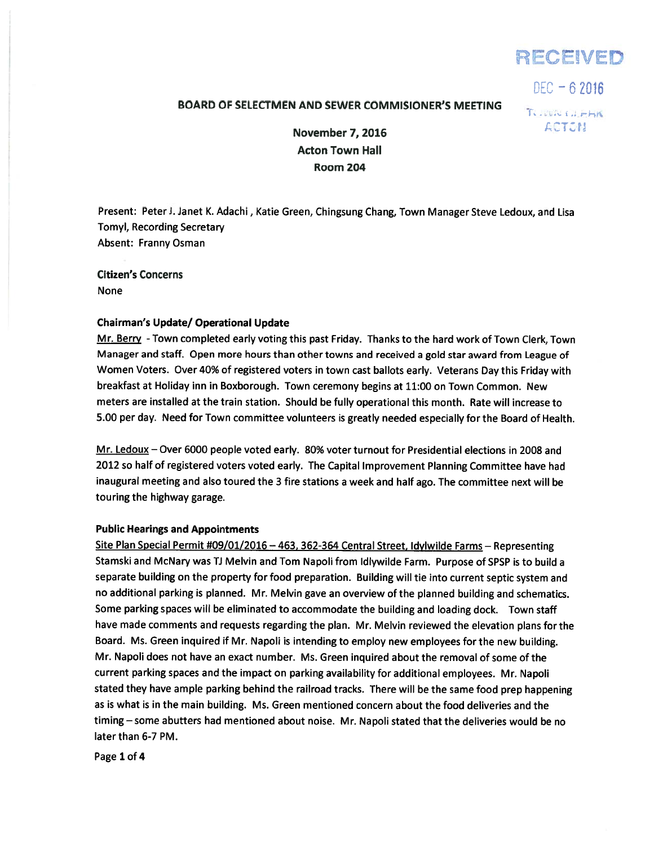

 $DEC - 62016$ 

# BOARD OF SELECTMEN AND SEWER COMMISIONER'S MEETING

TO JUNEAU FRIA ACTON

November 7, 2016 Acton Town Hall Room 204

Present: PeterJ. Janet K. Adachi, Katie Green, Chingsung Chang, Town Manager Steve Ledoux, and Lisa Tomyl, Recording Secretary Absent: Franny Osman

Citizen's Concerns None

## Chairman's Update/ Operational Update

Mr. Berry - Town completed early voting this past Friday. Thanks to the hard work of Town Clerk, Town Manager and staff. Open more hours than other towns and received <sup>a</sup> gold star award from League of Women Voters. Over 40% of registered voters in town cast ballots early. Veterans Day this Friday with breakfast at Holiday inn in Boxborough. Town ceremony begins at 11:00 on Town Common. New meters are installed at the train station. Should be fully operational this month. Rate will increase to 5.00 per day. Need for Town committee volunteers is greatly needed especially for the Board of Health.

Mr. Ledoux — Over 6000 people voted early. 80% voter turnout for Presidential elections in 2008 and 2012 so half of registered voters voted early. The Capital Improvement Planning Committee have had inaugural meeting and also toured the <sup>3</sup> fire stations <sup>a</sup> week and half ago. The committee next will be touring the highway garage.

#### Public Hearings and Appointments

Site Plan Special Permit #09/01/2016 - 463, 362-364 Central Street, Idylwilde Farms - Representing Stamski and McNary was TJ Melvin and Tom Napoli from Idlywilde Farm. Purpose of SPSP is to build <sup>a</sup> separate building on the property for food preparation. Building will tie into current septic system and no additional parking is <sup>p</sup>lanned. Mr. Melvin gave an overview of the <sup>p</sup>lanned building and schematics. Some parking spaces will be eliminated to accommodate the building and loading dock. Town staff have made comments and requests regarding the <sup>p</sup>lan. Mr. Melvin reviewed the elevation <sup>p</sup>lans for the Board. Ms. Green inquired if Mr. Napoli is intending to employ new employees for the new building. Mr. Napoli does not have an exact number. Ms. Green inquired about the removal of some of the current parking spaces and the impact on parking availability for additional employees. Mr. Napoli stated they have ample parking behind the railroad tracks. There will be the same food prep happening as is what is in the main building. Ms. Green mentioned concern about the food deliveries and the timing—some abutters had mentioned about noise. Mr. Napoli stated that the deliveries would be no later than 6-7 PM.

Page 1 of 4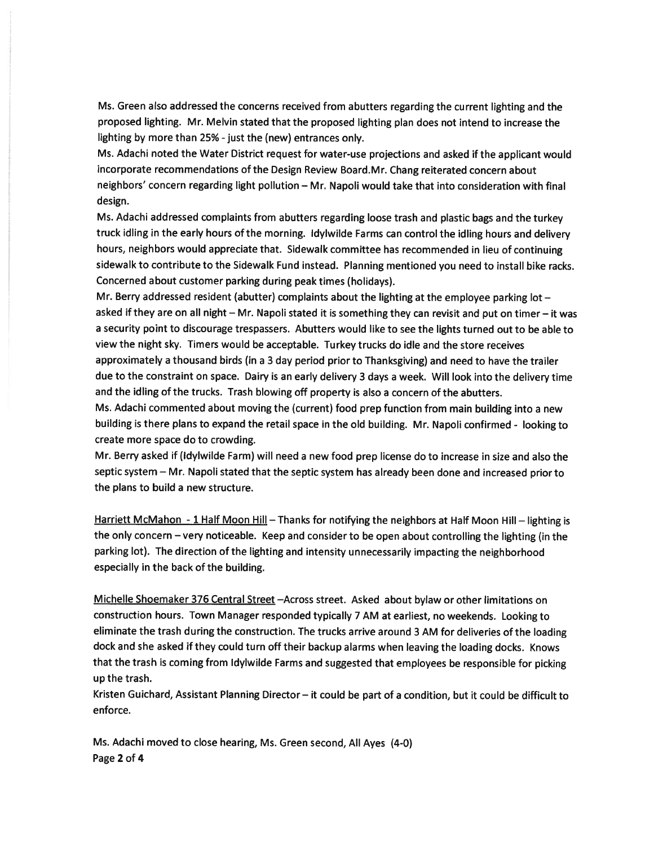Ms. Green also addressed the concerns received from abutters regarding the current lighting and the propose<sup>d</sup> lighting. Mr. Melvin stated that the propose<sup>d</sup> lighting <sup>p</sup>lan does not intend to increase the lighting by more than 25% - just the (new) entrances only.

Ms. Adachi noted the Water District reques<sup>t</sup> for water-use projections and asked if the applicant would incorporate recommendations of the Design Review Board.Mr. Chang reiterated concern about neighbors' concern regarding light pollution — Mr. Napoli would take that into consideration with final design.

Ms. Adachi addressed complaints from abutters regarding loose trash and <sup>p</sup>lastic bags and the turkey truck idling in the early hours of the morning. ldylwilde Farms can control the idling hours and delivery hours, neighbors would appreciate that. Sidewalk committee has recommended in lieu of continuing sidewalk to contribute to the Sidewalk Fund instead. Planning mentioned you need to install bike racks. Concerned about customer parking during pea<sup>k</sup> times (holidays).

Mr. Berry addressed resident (abutter) complaints about the lighting at the employee parking lot asked if they are on all night — Mr. Napoli stated it is something they can revisit and pu<sup>t</sup> on timer — it was <sup>a</sup> security point to discourage trespassers. Abutters would like to see the lights turned out to be able to view the night sky. Timers would be acceptable. Turkey trucks do idle and the store receives approximately <sup>a</sup> thousand birds (in <sup>a</sup> 3 day period prior to Thanksgiving) and need to have the trailer due to the constraint on space. Dairy is an early delivery <sup>3</sup> days <sup>a</sup> week. Will look into the delivery time and the idling of the trucks. Trash blowing off property is also <sup>a</sup> concern of the abutters.

Ms. Adachi commented about moving the (current) food prep function from main building into <sup>a</sup> new building is there <sup>p</sup>lans to expan<sup>d</sup> the retail space in the old building. Mr. Napoli confirmed - looking to create more space do to crowding.

Mr. Berry asked if (Idyiwilde Farm) will need <sup>a</sup> new food prep license do to increase in size and also the septic system — Mr. Napoli stated that the septic system has already been done and increased prior to the plans to build <sup>a</sup> new structure.

Harriett McMahon - 1 Half Moon Hill - Thanks for notifying the neighbors at Half Moon Hill - lighting is the only concern — very noticeable. Keep and consider to be open about controlling the lighting (in the parking lot). The direction of the lighting and intensity unnecessarily impacting the neighborhood especially in the back of the building.

Michelle Shoemaker <sup>376</sup> Central Street —Across street. Asked about bylaw or other limitations on construction hours. Town Manager responded typically <sup>7</sup> AM at earliest, no weekends. Looking to eliminate the trash during the construction. The trucks arrive around <sup>3</sup> AM for deliveries of the loading dock and she asked if they could turn off their backup alarms when leaving the loading docks. Knows that the trash is coming from ldylwilde Farms and suggested that employees be responsible for <sup>p</sup>icking up the trash.

Kristen Guichard, Assistant Planning Director— it could be par<sup>t</sup> of <sup>a</sup> condition, but it could be difficult to enforce.

Ms. Adachi moved to close hearing, Ms. Green second, All Ayes (4-0) Page 2 of 4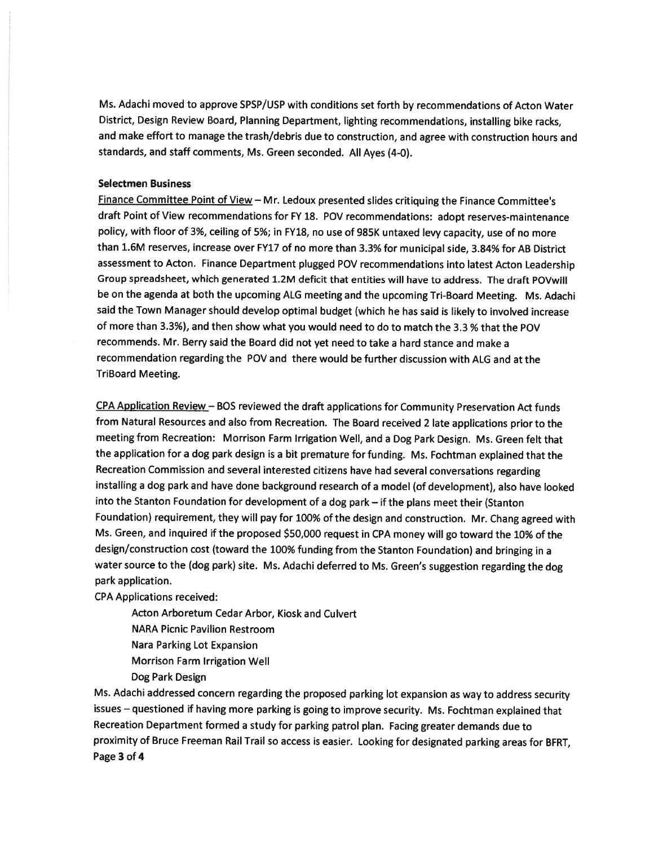Ms. Adachi moved to approve SPSP/USP with conditions set forth by recommendations of Acton Water District, Design Review Board, Planning Department, lighting recommendations, installing bike racks, and make effort to manage the trash/debris due to construction, and agree with construction hours and standards, and staff comments, Ms. Green seconded. All Ayes (4-0).

### Selectmen Business

Finance Committee Point of View — Mr. Ledoux presented slides critiquing the Finance Committee's draft Point of View recommendations for FY 18. POV recommendations: adopt reserves-maintenance policy, with floor of 3%, ceiling of 5%; in FY18, no use of 985K untaxed levy capacity, use of no more than 1.6M reserves, increase over FY17 of no more than 3.3% for municipal side, 3.84% for AB District assessment to Acton. Finance Department <sup>p</sup>lugged POV recommendations into latest Acton Leadership Group spreadsheet, which generated 1.2M deficit that entities will have to address. The draft POVwill be on the agenda at both the upcoming ALG meeting and the upcoming Tri-Board Meeting. Ms. Adachi said the Town Manager should develop optimal budget (which he has said is likely to involved increase of more than 3.3%), and then show what you would need to do to match the 3.3 % that the POV recommends. Mr. Berry said the Board did not ye<sup>t</sup> need to take <sup>a</sup> hard stance and make <sup>a</sup> recommendation regarding the POV and there would be further discussion with ALG and at the TriBoard Meeting.

CPA Application Review — BOS reviewed the draft applications for Community Preservation Act funds from Natural Resources and also from Recreation. The Board received <sup>2</sup> late applications prior to the meeting from Recreation: Morrison Farm Irrigation Well, and <sup>a</sup> Dog Park Design. Ms. Green felt that the application for <sup>a</sup> dog par<sup>k</sup> design is <sup>a</sup> bit premature for funding. Ms. Fochtman explained that the Recreation Commission and several interested citizens have had several conversations regarding installing <sup>a</sup> dog par<sup>k</sup> and have done background research of <sup>a</sup> model (of development), also have looked into the Stanton Foundation for development of <sup>a</sup> dog par<sup>k</sup> — if the <sup>p</sup>lans meet their (Stanton Foundation) requirement, they will pay for 100% of the design and construction. Mr. Chang agree<sup>d</sup> with Ms. Green, and inquired if the propose<sup>d</sup> \$50,000 reques<sup>t</sup> in CPA money will go toward the 10% of the design/construction cost (toward the 100% funding from the Stanton Foundation) and bringing in <sup>a</sup> water source to the (dog park) site. Ms. Adachi deferred to Ms. Green's suggestion regarding the dog park application.

CPA Applications received:

Acton Arboretum Cedar Arbor, Kiosk and Culvert

NARA Picnic Pavilion Restroom

Nara Parking Lot Expansion

Morrison Farm Irrigation Well

Dog Park Design

Ms. Adachi addressed concern regarding the propose<sup>d</sup> parking lot expansion as way to address security issues — questioned if having more parking is going to improve security. Ms. Fochtman explained that Recreation Department formed <sup>a</sup> study for parking patrol <sup>p</sup>lan. Facing greater demands due to proximity of Bruce Freeman Rail Trail so access is easier. Looking for designated parking areas for BFRT, Page 3 of 4